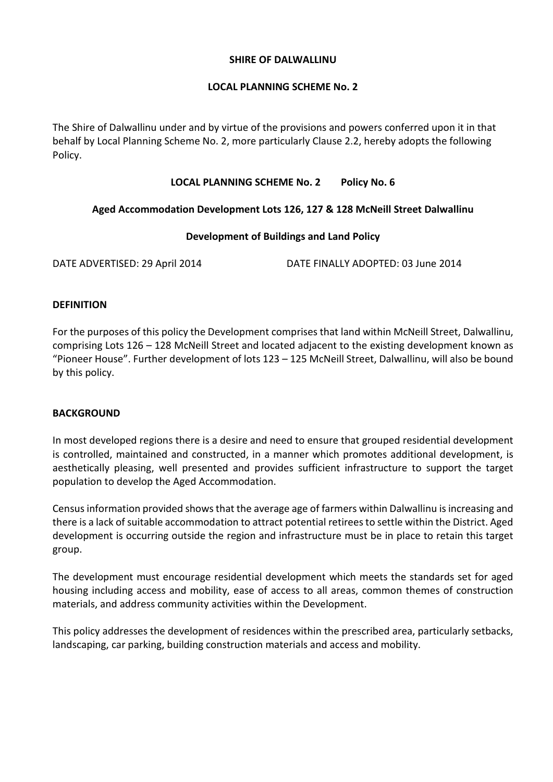#### **SHIRE OF DALWALLINU**

# **LOCAL PLANNING SCHEME No. 2**

The Shire of Dalwallinu under and by virtue of the provisions and powers conferred upon it in that behalf by Local Planning Scheme No. 2, more particularly Clause 2.2, hereby adopts the following Policy.

# **LOCAL PLANNING SCHEME No. 2 Policy No. 6**

# **Aged Accommodation Development Lots 126, 127 & 128 McNeill Street Dalwallinu**

# **Development of Buildings and Land Policy**

DATE ADVERTISED: 29 April 2014 DATE FINALLY ADOPTED: 03 June 2014

#### **DEFINITION**

For the purposes of this policy the Development comprises that land within McNeill Street, Dalwallinu, comprising Lots 126 – 128 McNeill Street and located adjacent to the existing development known as "Pioneer House". Further development of lots 123 – 125 McNeill Street, Dalwallinu, will also be bound by this policy.

# **BACKGROUND**

In most developed regions there is a desire and need to ensure that grouped residential development is controlled, maintained and constructed, in a manner which promotes additional development, is aesthetically pleasing, well presented and provides sufficient infrastructure to support the target population to develop the Aged Accommodation.

Census information provided shows that the average age of farmers within Dalwallinu is increasing and there is a lack of suitable accommodation to attract potential retirees to settle within the District. Aged development is occurring outside the region and infrastructure must be in place to retain this target group.

The development must encourage residential development which meets the standards set for aged housing including access and mobility, ease of access to all areas, common themes of construction materials, and address community activities within the Development.

This policy addresses the development of residences within the prescribed area, particularly setbacks, landscaping, car parking, building construction materials and access and mobility.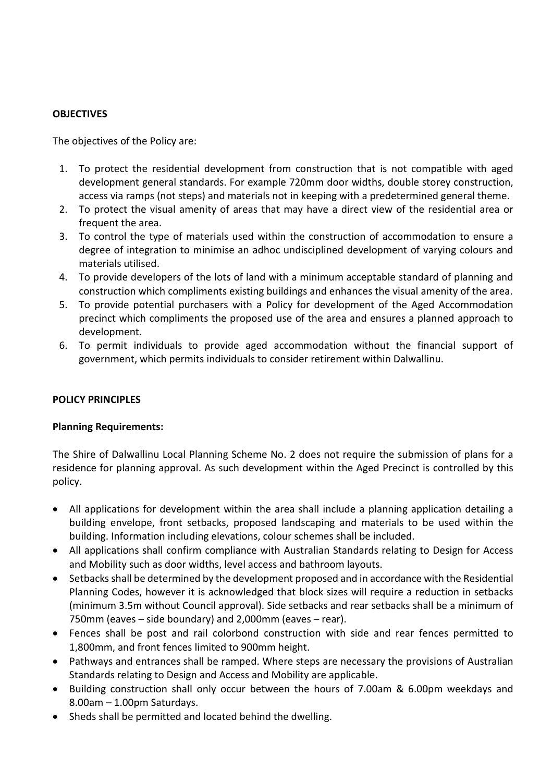# **OBJECTIVES**

The objectives of the Policy are:

- 1. To protect the residential development from construction that is not compatible with aged development general standards. For example 720mm door widths, double storey construction, access via ramps (not steps) and materials not in keeping with a predetermined general theme.
- 2. To protect the visual amenity of areas that may have a direct view of the residential area or frequent the area.
- 3. To control the type of materials used within the construction of accommodation to ensure a degree of integration to minimise an adhoc undisciplined development of varying colours and materials utilised.
- 4. To provide developers of the lots of land with a minimum acceptable standard of planning and construction which compliments existing buildings and enhances the visual amenity of the area.
- 5. To provide potential purchasers with a Policy for development of the Aged Accommodation precinct which compliments the proposed use of the area and ensures a planned approach to development.
- 6. To permit individuals to provide aged accommodation without the financial support of government, which permits individuals to consider retirement within Dalwallinu.

# **POLICY PRINCIPLES**

# **Planning Requirements:**

The Shire of Dalwallinu Local Planning Scheme No. 2 does not require the submission of plans for a residence for planning approval. As such development within the Aged Precinct is controlled by this policy.

- All applications for development within the area shall include a planning application detailing a building envelope, front setbacks, proposed landscaping and materials to be used within the building. Information including elevations, colour schemes shall be included.
- All applications shall confirm compliance with Australian Standards relating to Design for Access and Mobility such as door widths, level access and bathroom layouts.
- Setbacks shall be determined by the development proposed and in accordance with the Residential Planning Codes, however it is acknowledged that block sizes will require a reduction in setbacks (minimum 3.5m without Council approval). Side setbacks and rear setbacks shall be a minimum of 750mm (eaves – side boundary) and 2,000mm (eaves – rear).
- Fences shall be post and rail colorbond construction with side and rear fences permitted to 1,800mm, and front fences limited to 900mm height.
- Pathways and entrances shall be ramped. Where steps are necessary the provisions of Australian Standards relating to Design and Access and Mobility are applicable.
- Building construction shall only occur between the hours of 7.00am & 6.00pm weekdays and 8.00am – 1.00pm Saturdays.
- Sheds shall be permitted and located behind the dwelling.